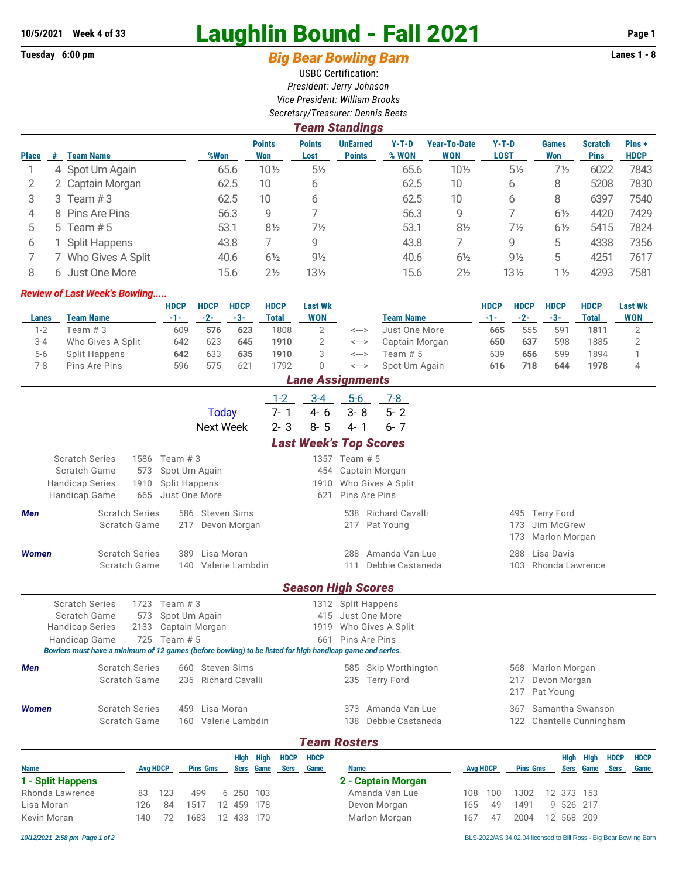# **10/5/2021 Week 4 of 33 Laughlin Bound - Fall 2021 Page 1**

## Tuesday 6:00 pm **Big Bear Bowling Barn Barn Lanes 1 - 8**

USBC Certification: *President: Jerry Johnson Vice President: William Brooks Secretary/Treasurer: Dennis Beets*

|              | <b>Team Standings</b> |                      |      |                      |                       |                                  |                  |                            |                        |                     |                               |                      |  |  |
|--------------|-----------------------|----------------------|------|----------------------|-----------------------|----------------------------------|------------------|----------------------------|------------------------|---------------------|-------------------------------|----------------------|--|--|
| <b>Place</b> | #                     | <b>Team Name</b>     | %Won | <b>Points</b><br>Won | <b>Points</b><br>Lost | <b>UnEarned</b><br><b>Points</b> | $Y-T-D$<br>% WON | Year-To-Date<br><b>WON</b> | $Y-T-D$<br><b>LOST</b> | <b>Games</b><br>Won | <b>Scratch</b><br><b>Pins</b> | Pins+<br><b>HDCP</b> |  |  |
|              |                       | 4 Spot Um Again      | 65.6 | $10\frac{1}{2}$      | $5\frac{1}{2}$        |                                  | 65.6             | $10\frac{1}{2}$            | $5\frac{1}{2}$         | 7½                  | 6022                          | 7843                 |  |  |
|              |                       | 2 Captain Morgan     | 62.5 | 10                   | 6                     |                                  | 62.5             | 10                         | 6                      | 8                   | 5208                          | 7830                 |  |  |
| 3            |                       | 3 Team $#3$          | 62.5 | 10                   | 6                     |                                  | 62.5             | 10                         | 6                      | 8                   | 6397                          | 7540                 |  |  |
| 4            |                       | 8 Pins Are Pins      | 56.3 | 9                    |                       |                                  | 56.3             | 9                          |                        | $6\frac{1}{2}$      | 4420                          | 7429                 |  |  |
| 5            |                       | 5 Team $# 5$         | 53.1 | $8\frac{1}{2}$       | $7\frac{1}{2}$        |                                  | 53.1             | $8\frac{1}{2}$             | $7\frac{1}{2}$         | $6\frac{1}{2}$      | 5415                          | 7824                 |  |  |
| 6            |                       | <b>Split Happens</b> | 43.8 |                      | 9                     |                                  | 43.8             |                            | 9                      | 5                   | 4338                          | 7356                 |  |  |
|              |                       | Who Gives A Split    | 40.6 | $6\frac{1}{2}$       | $9\frac{1}{2}$        |                                  | 40.6             | $6\frac{1}{2}$             | $9\frac{1}{2}$         | 5                   | 4251                          | 7617                 |  |  |
| 8            |                       | 6 Just One More      | 15.6 | $2\frac{1}{2}$       | $13\frac{1}{2}$       |                                  | 15.6             | $2\frac{1}{2}$             | $13\frac{1}{2}$        | $1\frac{1}{2}$      | 4293                          | 7581                 |  |  |

#### *Review of Last Week's Bowling.....*

|         |                   | <b>HDCP</b> | <b>HDCP</b> | <b>HDCP</b>  | <b>HDCP</b> | <b>Last Wk</b>     |       |                  | <b>HDCP</b> | <b>HDCP</b> | <b>HDCP</b> | <b>HDCP</b> | <b>Last Wk</b> |
|---------|-------------------|-------------|-------------|--------------|-------------|--------------------|-------|------------------|-------------|-------------|-------------|-------------|----------------|
| Lanes   | Team Name         | -1-1        | $-2-$       | $-3-$        | Total       | WON                |       | <b>Team Name</b> |             | $-2-$       | $-3-$       | Total       | <b>WON</b>     |
| $1 - 2$ | Team # 3          | 609         | 576         | 623          | 1808        |                    | <---> | Just One More    | 665         | 555         | 591         | 1811        |                |
| $3 - 4$ | Who Gives A Split | 642         | 623         | 645          | 1910        |                    | <---> | Captain Morgan   | 650         | 637         | 598         | 1885        |                |
| $5-6$   | Split Happens     | 642         | 633         | 635          | 1910        |                    | <---> | Team # 5         | 639         | 656         | 599         | 1894        |                |
| 7-8     | Pins Are Pins     | 596         | 575         | $62^{\circ}$ | 792         |                    | <---> | Spot Um Again    | 616         | 718         | 644         | 1978        |                |
|         |                   |             |             |              |             | l ana Accianmante. |       |                  |             |             |             |             |                |

|                                                                                  |                                       |                            |                                                                     |                                                                                                          |                             | Lane Assignments              |                             |                                                                                    |                   |                                               |
|----------------------------------------------------------------------------------|---------------------------------------|----------------------------|---------------------------------------------------------------------|----------------------------------------------------------------------------------------------------------|-----------------------------|-------------------------------|-----------------------------|------------------------------------------------------------------------------------|-------------------|-----------------------------------------------|
|                                                                                  |                                       |                            |                                                                     | <b>Today</b><br><b>Next Week</b>                                                                         | $1-2$<br>$7 - 1$<br>$2 - 3$ | $3 - 4$<br>$4 - 6$<br>$8 - 5$ | $5-6$<br>$3 - 8$<br>$4 - 1$ | 7-8<br>$5 - 2$<br>$6 - 7$                                                          |                   |                                               |
|                                                                                  |                                       |                            |                                                                     |                                                                                                          |                             |                               |                             | <b>Last Week's Top Scores</b>                                                      |                   |                                               |
| <b>Scratch Series</b><br>Scratch Game<br><b>Handicap Series</b><br>Handicap Game |                                       | 1586<br>573<br>1910<br>665 | Team $#3$<br>Spot Um Again<br><b>Split Happens</b><br>Just One More |                                                                                                          |                             | 621                           | 1357 Team # 5               | 454 Captain Morgan<br>1910 Who Gives A Split<br>Pins Are Pins                      |                   |                                               |
| <b>Men</b>                                                                       | <b>Scratch Series</b><br>Scratch Game |                            | 217                                                                 | 586 Steven Sims<br>Devon Morgan                                                                          |                             |                               | 217                         | 538 Richard Cavalli<br>Pat Young                                                   | 173<br>173        | 495 Terry Ford<br>Jim McGrew<br>Marlon Morgan |
| <b>Women</b>                                                                     | <b>Scratch Series</b><br>Scratch Game |                            | 140                                                                 | 389 Lisa Moran<br>Valerie Lambdin                                                                        |                             |                               | 288<br>111                  | Amanda Van Lue<br>Debbie Castaneda                                                 | 288<br>103        | Lisa Davis<br>Rhonda Lawrence                 |
|                                                                                  |                                       |                            |                                                                     |                                                                                                          |                             |                               |                             | <b>Season High Scores</b>                                                          |                   |                                               |
| <b>Scratch Series</b><br>Scratch Game<br><b>Handicap Series</b><br>Handicap Game |                                       | 1723<br>573<br>2133<br>725 | Team $#3$<br>Spot Um Again<br>Captain Morgan<br>Team $# 5$          | Bowlers must have a minimum of 12 games (before bowling) to be listed for high handicap game and series. |                             | 661                           |                             | 1312 Split Happens<br>415 Just One More<br>1919 Who Gives A Split<br>Pins Are Pins |                   |                                               |
| <b>Men</b>                                                                       | <b>Scratch Series</b><br>Scratch Game |                            |                                                                     | 660 Steven Sims<br>235 Richard Cavalli                                                                   |                             |                               |                             | 585 Skip Worthington<br>235 Terry Ford                                             | 568<br>217<br>217 | Marlon Morgan<br>Devon Morgan<br>Pat Young    |
| <b>Women</b>                                                                     | <b>Scratch Series</b><br>Scratch Game |                            | 459                                                                 | Lisa Moran<br>160 Valerie Lambdin                                                                        |                             |                               | 373<br>138                  | Amanda Van Lue<br>Debbie Castaneda                                                 | 367               | Samantha Swanson<br>122 Chantelle Cunningham  |
|                                                                                  |                                       |                            |                                                                     |                                                                                                          |                             | <b>Team Rosters</b>           |                             |                                                                                    |                   |                                               |
|                                                                                  |                                       |                            |                                                                     | High High                                                                                                | <b>HDCP</b>                 | <b>HDCP</b>                   |                             |                                                                                    |                   | <b>HDCP</b><br><b>HDCP</b><br>High High       |

#### **Name Avg HDCP Pins Gms Sers Game Sers Game Name Avg HDCP Pins Gms Sers Game Sers Game 1 - Split Happens** Rhonda Lawrence 83 123 499 6 250 103 Lisa Moran 126 84 1517 12 459 178 Kevin Moran 140 72 1683 12 433 170 **2 - Captain Morgan** Amanda Van Lue 108 100 1302 12 373 153 Devon Morgan 165 49 1491 9 526 217 Marlon Morgan 167 47 2004 12 568 209